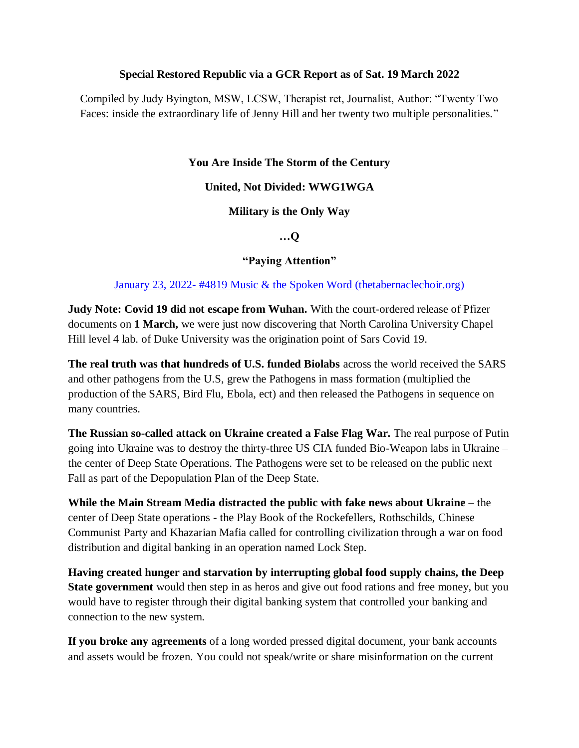#### **Special Restored Republic via a GCR Report as of Sat. 19 March 2022**

Compiled by Judy Byington, MSW, LCSW, Therapist ret, Journalist, Author: "Twenty Two Faces: inside the extraordinary life of Jenny Hill and her twenty two multiple personalities."

### **You Are Inside The Storm of the Century**

### **United, Not Divided: WWG1WGA**

### **Military is the Only Way**

### **…Q**

### **"Paying Attention"**

### January 23, 2022- [#4819 Music & the Spoken Word \(thetabernaclechoir.org\)](https://www.thetabernaclechoir.org/videos/january-23-2022-4819-music-and-the-spoken-word.html)

**Judy Note: Covid 19 did not escape from Wuhan.** With the court-ordered release of Pfizer documents on **1 March,** we were just now discovering that North Carolina University Chapel Hill level 4 lab. of Duke University was the origination point of Sars Covid 19.

**The real truth was that hundreds of U.S. funded Biolabs** across the world received the SARS and other pathogens from the U.S, grew the Pathogens in mass formation (multiplied the production of the SARS, Bird Flu, Ebola, ect) and then released the Pathogens in sequence on many countries.

**The Russian so-called attack on Ukraine created a False Flag War.** The real purpose of Putin going into Ukraine was to destroy the thirty-three US CIA funded Bio-Weapon labs in Ukraine – the center of Deep State Operations. The Pathogens were set to be released on the public next Fall as part of the Depopulation Plan of the Deep State.

**While the Main Stream Media distracted the public with fake news about Ukraine** – the center of Deep State operations - the Play Book of the Rockefellers, Rothschilds, Chinese Communist Party and Khazarian Mafia called for controlling civilization through a war on food distribution and digital banking in an operation named Lock Step.

**Having created hunger and starvation by interrupting global food supply chains, the Deep State government** would then step in as heros and give out food rations and free money, but you would have to register through their digital banking system that controlled your banking and connection to the new system.

**If you broke any agreements** of a long worded pressed digital document, your bank accounts and assets would be frozen. You could not speak/write or share misinformation on the current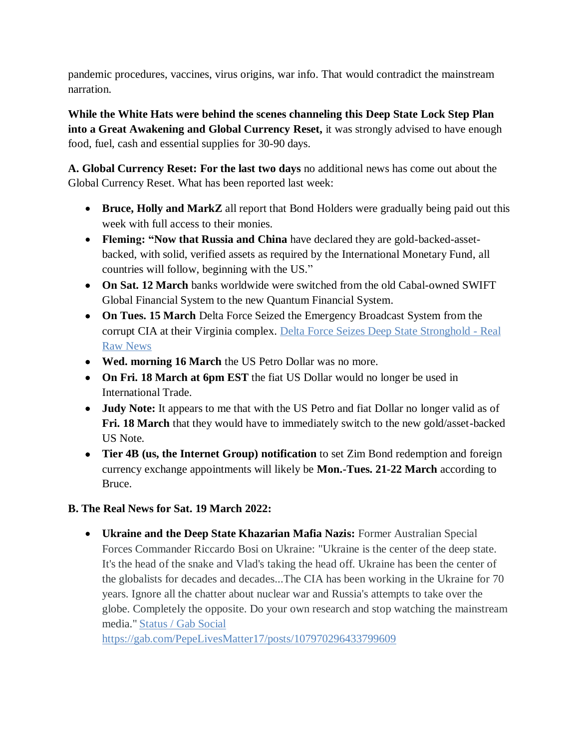pandemic procedures, vaccines, virus origins, war info. That would contradict the mainstream narration.

**While the White Hats were behind the scenes channeling this Deep State Lock Step Plan into a Great Awakening and Global Currency Reset,** it was strongly advised to have enough food, fuel, cash and essential supplies for 30-90 days.

**A. Global Currency Reset: For the last two days** no additional news has come out about the Global Currency Reset. What has been reported last week:

- **Bruce, Holly and MarkZ** all report that Bond Holders were gradually being paid out this week with full access to their monies.
- **Fleming: "Now that Russia and China** have declared they are gold-backed-assetbacked, with solid, verified assets as required by the International Monetary Fund, all countries will follow, beginning with the US."
- **On Sat. 12 March** banks worldwide were switched from the old Cabal-owned SWIFT Global Financial System to the new Quantum Financial System.
- **On Tues. 15 March** Delta Force Seized the Emergency Broadcast System from the corrupt CIA at their Virginia complex. [Delta Force Seizes Deep State Stronghold -](https://realrawnews.com/2022/03/delta-force-seizes-deep-state-stronghold/) Real [Raw News](https://realrawnews.com/2022/03/delta-force-seizes-deep-state-stronghold/)
- **Wed. morning 16 March** the US Petro Dollar was no more.
- **On Fri. 18 March at 6pm EST** the fiat US Dollar would no longer be used in International Trade.
- **Judy Note:** It appears to me that with the US Petro and fiat Dollar no longer valid as of **Fri. 18 March** that they would have to immediately switch to the new gold/asset-backed US Note.
- **Tier 4B (us, the Internet Group) notification** to set Zim Bond redemption and foreign currency exchange appointments will likely be **Mon.-Tues. 21-22 March** according to Bruce.

## **B. The Real News for Sat. 19 March 2022:**

 **Ukraine and the Deep State Khazarian Mafia Nazis:** Former Australian Special Forces Commander Riccardo Bosi on Ukraine: "Ukraine is the center of the deep state. It's the head of the snake and Vlad's taking the head off. Ukraine has been the center of the globalists for decades and decades...The CIA has been working in the Ukraine for 70 years. Ignore all the chatter about nuclear war and Russia's attempts to take over the globe. Completely the opposite. Do your own research and stop watching the mainstream media." [Status / Gab Social](https://gab.com/PepeLivesMatter17/posts/107970296433799609)

<https://gab.com/PepeLivesMatter17/posts/107970296433799609>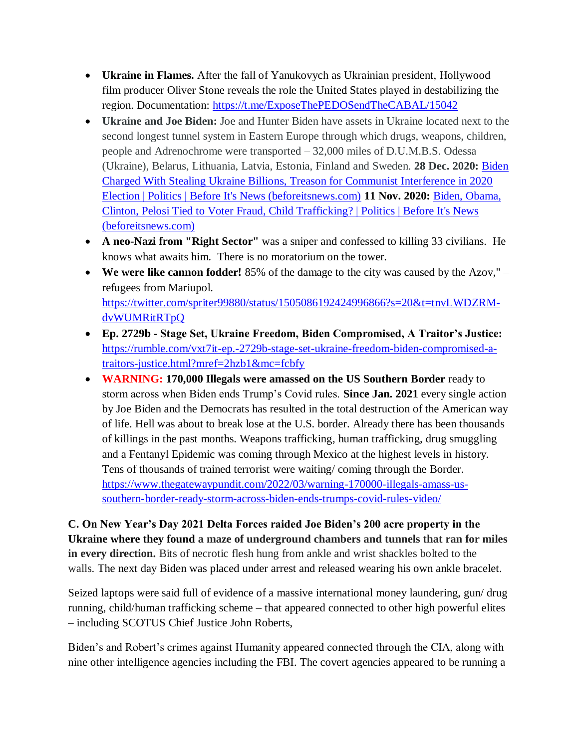- **Ukraine in Flames.** After the fall of Yanukovych as Ukrainian president, Hollywood film producer Oliver Stone reveals the role the United States played in destabilizing the region. Documentation: <https://t.me/ExposeThePEDOSendTheCABAL/15042>
- **Ukraine and Joe Biden:** Joe and Hunter Biden have assets in Ukraine located next to the second longest tunnel system in Eastern Europe through which drugs, weapons, children, people and Adrenochrome were transported – 32,000 miles of D.U.M.B.S. Odessa (Ukraine), Belarus, Lithuania, Latvia, Estonia, Finland and Sweden. **28 Dec. 2020:** [Biden](https://beforeitsnews.com/politics/2020/12/biden-charged-with-stealing-ukraine-billions-treason-for-communist-interference-in-2020-election-3221786.html)  [Charged With Stealing Ukraine Billions, Treason for Communist Interference in 2020](https://beforeitsnews.com/politics/2020/12/biden-charged-with-stealing-ukraine-billions-treason-for-communist-interference-in-2020-election-3221786.html)  [Election | Politics | Before It's News \(beforeitsnews.com\)](https://beforeitsnews.com/politics/2020/12/biden-charged-with-stealing-ukraine-billions-treason-for-communist-interference-in-2020-election-3221786.html) **11 Nov. 2020:** [Biden, Obama,](https://beforeitsnews.com/politics/2020/11/biden-obama-clinton-pelosi-tied-to-voter-fraud-child-trafficking-3217778.html)  [Clinton, Pelosi Tied to Voter Fraud, Child Trafficking? | Politics | Before It's News](https://beforeitsnews.com/politics/2020/11/biden-obama-clinton-pelosi-tied-to-voter-fraud-child-trafficking-3217778.html)  [\(beforeitsnews.com\)](https://beforeitsnews.com/politics/2020/11/biden-obama-clinton-pelosi-tied-to-voter-fraud-child-trafficking-3217778.html)
- **A neo-Nazi from "Right Sector"** was a sniper and confessed to killing 33 civilians. He knows what awaits him. There is no moratorium on the tower.
- **We were like cannon fodder!** 85% of the damage to the city was caused by the Azov," refugees from Mariupol. [https://twitter.com/spriter99880/status/1505086192424996866?s=20&t=tnvLWDZRM](https://twitter.com/spriter99880/status/1505086192424996866?s=20&t=tnvLWDZRM-dvWUMRitRTpQ)[dvWUMRitRTpQ](https://twitter.com/spriter99880/status/1505086192424996866?s=20&t=tnvLWDZRM-dvWUMRitRTpQ)
- **Ep. 2729b - Stage Set, Ukraine Freedom, Biden Compromised, A Traitor's Justice:**  [https://rumble.com/vxt7it-ep.-2729b-stage-set-ukraine-freedom-biden-compromised-a](https://rumble.com/vxt7it-ep.-2729b-stage-set-ukraine-freedom-biden-compromised-a-traitors-justice.html?mref=2hzb1&mc=fcbfy)[traitors-justice.html?mref=2hzb1&mc=fcbfy](https://rumble.com/vxt7it-ep.-2729b-stage-set-ukraine-freedom-biden-compromised-a-traitors-justice.html?mref=2hzb1&mc=fcbfy)
- **WARNING: 170,000 Illegals were amassed on the US Southern Border** ready to storm across when Biden ends Trump's Covid rules. **Since Jan. 2021** every single action by Joe Biden and the Democrats has resulted in the total destruction of the American way of life. Hell was about to break lose at the U.S. border. Already there has been thousands of killings in the past months. Weapons trafficking, human trafficking, drug smuggling and a Fentanyl Epidemic was coming through Mexico at the highest levels in history. Tens of thousands of trained terrorist were waiting/ coming through the Border. [https://www.thegatewaypundit.com/2022/03/warning-170000-illegals-amass-us](https://www.thegatewaypundit.com/2022/03/warning-170000-illegals-amass-us-southern-border-ready-storm-across-biden-ends-trumps-covid-rules-video/)[southern-border-ready-storm-across-biden-ends-trumps-covid-rules-video/](https://www.thegatewaypundit.com/2022/03/warning-170000-illegals-amass-us-southern-border-ready-storm-across-biden-ends-trumps-covid-rules-video/)

**C. On New Year's Day 2021 Delta Forces raided Joe Biden's 200 acre property in the Ukraine where they found a maze of underground chambers and tunnels that ran for miles in every direction.** Bits of necrotic flesh hung from ankle and wrist shackles bolted to the walls. The next day Biden was placed under arrest and released wearing his own ankle bracelet.

Seized laptops were said full of evidence of a massive international money laundering, gun/ drug running, child/human trafficking scheme – that appeared connected to other high powerful elites – including SCOTUS Chief Justice John Roberts,

Biden's and Robert's crimes against Humanity appeared connected through the CIA, along with nine other intelligence agencies including the FBI. The covert agencies appeared to be running a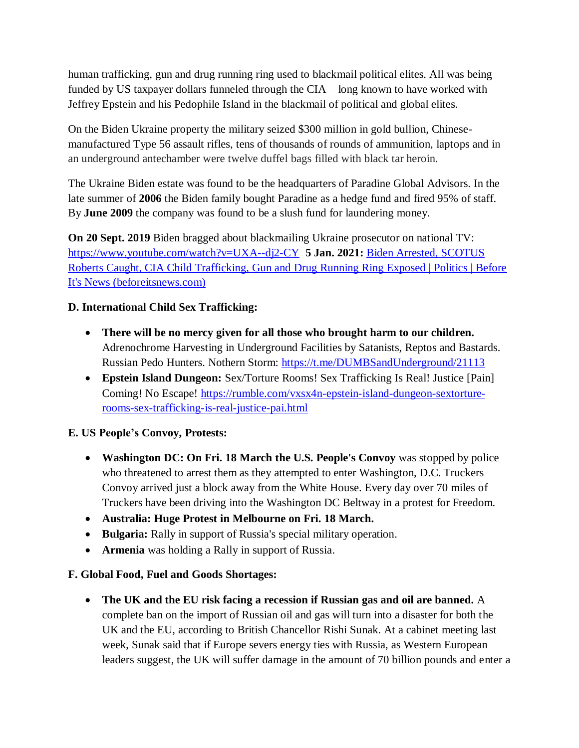human trafficking, gun and drug running ring used to blackmail political elites. All was being funded by US taxpayer dollars funneled through the CIA – long known to have worked with Jeffrey Epstein and his Pedophile Island in the blackmail of political and global elites.

On the Biden Ukraine property the military seized \$300 million in gold bullion, Chinesemanufactured Type 56 assault rifles, tens of thousands of rounds of ammunition, laptops and in an underground antechamber were twelve duffel bags filled with black tar heroin.

The Ukraine Biden estate was found to be the headquarters of Paradine Global Advisors. In the late summer of **2006** the Biden family bought Paradine as a hedge fund and fired 95% of staff. By **June 2009** the company was found to be a slush fund for laundering money.

**On 20 Sept. 2019** Biden bragged about blackmailing Ukraine prosecutor on national TV: <https://www.youtube.com/watch?v=UXA--dj2-CY>**5 Jan. 2021:** [Biden Arrested, SCOTUS](https://beforeitsnews.com/politics/2021/01/biden-arrested-scotus-roberts-caught-cia-child-trafficking-gun-and-drug-running-ring-exposed-3222415.html)  [Roberts Caught, CIA Child Trafficking, Gun and Drug Running Ring Exposed | Politics | Before](https://beforeitsnews.com/politics/2021/01/biden-arrested-scotus-roberts-caught-cia-child-trafficking-gun-and-drug-running-ring-exposed-3222415.html)  [It's News \(beforeitsnews.com\)](https://beforeitsnews.com/politics/2021/01/biden-arrested-scotus-roberts-caught-cia-child-trafficking-gun-and-drug-running-ring-exposed-3222415.html)

# **D. International Child Sex Trafficking:**

- **There will be no mercy given for all those who brought harm to our children.** Adrenochrome Harvesting in Underground Facilities by Satanists, Reptos and Bastards. Russian Pedo Hunters. Nothern Storm:<https://t.me/DUMBSandUnderground/21113>
- **Epstein Island Dungeon:** Sex/Torture Rooms! Sex Trafficking Is Real! Justice [Pain] Coming! No Escape! [https://rumble.com/vxsx4n-epstein-island-dungeon-sextorture](https://rumble.com/vxsx4n-epstein-island-dungeon-sextorture-rooms-sex-trafficking-is-real-justice-pai.html)[rooms-sex-trafficking-is-real-justice-pai.html](https://rumble.com/vxsx4n-epstein-island-dungeon-sextorture-rooms-sex-trafficking-is-real-justice-pai.html)

## **E. US People's Convoy, Protests:**

- **Washington DC: On Fri. 18 March the U.S. People's Convoy** was stopped by police who threatened to arrest them as they attempted to enter Washington, D.C. Truckers Convoy arrived just a block away from the White House. Every day over 70 miles of Truckers have been driving into the Washington DC Beltway in a protest for Freedom.
- **Australia: Huge Protest in Melbourne on Fri. 18 March.**
- **Bulgaria:** Rally in support of Russia's special military operation.
- **Armenia** was holding a Rally in support of Russia.

## **F. Global Food, Fuel and Goods Shortages:**

 **The UK and the EU risk facing a recession if Russian gas and oil are banned.** A complete ban on the import of Russian oil and gas will turn into a disaster for both the UK and the EU, according to British Chancellor Rishi Sunak. At a cabinet meeting last week, Sunak said that if Europe severs energy ties with Russia, as Western European leaders suggest, the UK will suffer damage in the amount of 70 billion pounds and enter a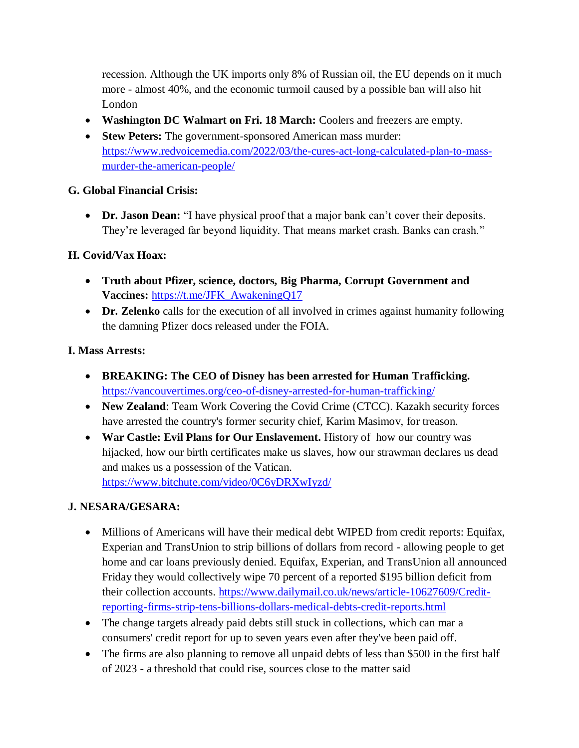recession. Although the UK imports only 8% of Russian oil, the EU depends on it much more - almost 40%, and the economic turmoil caused by a possible ban will also hit London

- **Washington DC Walmart on Fri. 18 March:** Coolers and freezers are empty.
- **Stew Peters:** The government-sponsored American mass murder: [https://www.redvoicemedia.com/2022/03/the-cures-act-long-calculated-plan-to-mass](https://www.redvoicemedia.com/2022/03/the-cures-act-long-calculated-plan-to-mass-murder-the-american-people/)[murder-the-american-people/](https://www.redvoicemedia.com/2022/03/the-cures-act-long-calculated-plan-to-mass-murder-the-american-people/)

## **G. Global Financial Crisis:**

 **Dr. Jason Dean:** "I have physical proof that a major bank can't cover their deposits. They're leveraged far beyond liquidity. That means market crash. Banks can crash."

# **H. Covid/Vax Hoax:**

- **Truth about Pfizer, science, doctors, Big Pharma, Corrupt Government and Vaccines:** [https://t.me/JFK\\_AwakeningQ17](https://t.me/JFK_AwakeningQ17)
- **Dr. Zelenko** calls for the execution of all involved in crimes against humanity following the damning Pfizer docs released under the FOIA.

# **I. Mass Arrests:**

- **BREAKING: The CEO of Disney has been arrested for Human Trafficking.**  <https://vancouvertimes.org/ceo-of-disney-arrested-for-human-trafficking/>
- **New Zealand**: Team Work Covering the Covid Crime (CTCC). Kazakh security forces have arrested the country's former security chief, Karim Masimov, for treason.
- **War Castle: Evil Plans for Our Enslavement.** History of how our country was hijacked, how our birth certificates make us slaves, how our strawman declares us dead and makes us a possession of the Vatican. <https://www.bitchute.com/video/0C6yDRXwIyzd/>

# **J. NESARA/GESARA:**

- Millions of Americans will have their medical debt WIPED from credit reports: Equifax, Experian and TransUnion to strip billions of dollars from record - allowing people to get home and car loans previously denied. Equifax, Experian, and TransUnion all announced Friday they would collectively wipe 70 percent of a reported \$195 billion deficit from their collection accounts. [https://www.dailymail.co.uk/news/article-10627609/Credit](https://www.dailymail.co.uk/news/article-10627609/Credit-reporting-firms-strip-tens-billions-dollars-medical-debts-credit-reports.html)[reporting-firms-strip-tens-billions-dollars-medical-debts-credit-reports.html](https://www.dailymail.co.uk/news/article-10627609/Credit-reporting-firms-strip-tens-billions-dollars-medical-debts-credit-reports.html)
- The change targets already paid debts still stuck in collections, which can mar a consumers' credit report for up to seven years even after they've been paid off.
- The firms are also planning to remove all unpaid debts of less than \$500 in the first half of 2023 - a threshold that could rise, sources close to the matter said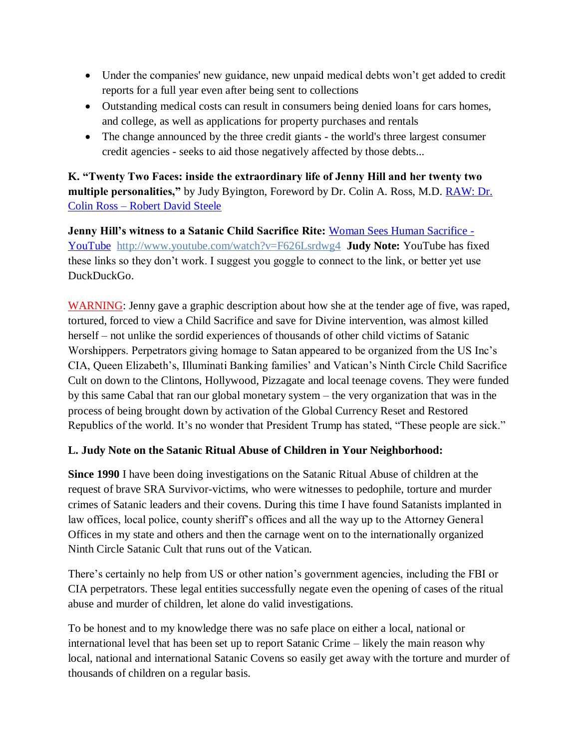- Under the companies' new guidance, new unpaid medical debts won't get added to credit reports for a full year even after being sent to collections
- Outstanding medical costs can result in consumers being denied loans for cars homes, and college, as well as applications for property purchases and rentals
- The change announced by the three credit giants the world's three largest consumer credit agencies - seeks to aid those negatively affected by those debts...

**K. "Twenty Two Faces: inside the extraordinary life of Jenny Hill and her twenty two multiple personalities,"** by Judy Byington, Foreword by Dr. Colin A. Ross, M.D. [RAW: Dr.](https://robertdavidsteele.com/dr-colin-ross/)  Colin Ross – [Robert David Steele](https://robertdavidsteele.com/dr-colin-ross/)

**Jenny Hill's witness to a Satanic Child Sacrifice Rite:** [Woman Sees Human Sacrifice -](https://www.youtube.com/watch?v=F626Lsrdwg4) [YouTube http://www.youtube.com/watch?v=F626Lsrdwg4](https://www.youtube.com/watch?v=F626Lsrdwg4) **Judy Note:** YouTube has fixed these links so they don't work. I suggest you goggle to connect to the link, or better yet use DuckDuckGo.

WARNING: Jenny gave a graphic description about how she at the tender age of five, was raped, tortured, forced to view a Child Sacrifice and save for Divine intervention, was almost killed herself – not unlike the sordid experiences of thousands of other child victims of Satanic Worshippers. Perpetrators giving homage to Satan appeared to be organized from the US Inc's CIA, Queen Elizabeth's, Illuminati Banking families' and Vatican's Ninth Circle Child Sacrifice Cult on down to the Clintons, Hollywood, Pizzagate and local teenage covens. They were funded by this same Cabal that ran our global monetary system – the very organization that was in the process of being brought down by activation of the Global Currency Reset and Restored Republics of the world. It's no wonder that President Trump has stated, "These people are sick."

## **L. Judy Note on the Satanic Ritual Abuse of Children in Your Neighborhood:**

**Since 1990** I have been doing investigations on the Satanic Ritual Abuse of children at the request of brave SRA Survivor-victims, who were witnesses to pedophile, torture and murder crimes of Satanic leaders and their covens. During this time I have found Satanists implanted in law offices, local police, county sheriff's offices and all the way up to the Attorney General Offices in my state and others and then the carnage went on to the internationally organized Ninth Circle Satanic Cult that runs out of the Vatican.

There's certainly no help from US or other nation's government agencies, including the FBI or CIA perpetrators. These legal entities successfully negate even the opening of cases of the ritual abuse and murder of children, let alone do valid investigations.

To be honest and to my knowledge there was no safe place on either a local, national or international level that has been set up to report Satanic Crime – likely the main reason why local, national and international Satanic Covens so easily get away with the torture and murder of thousands of children on a regular basis.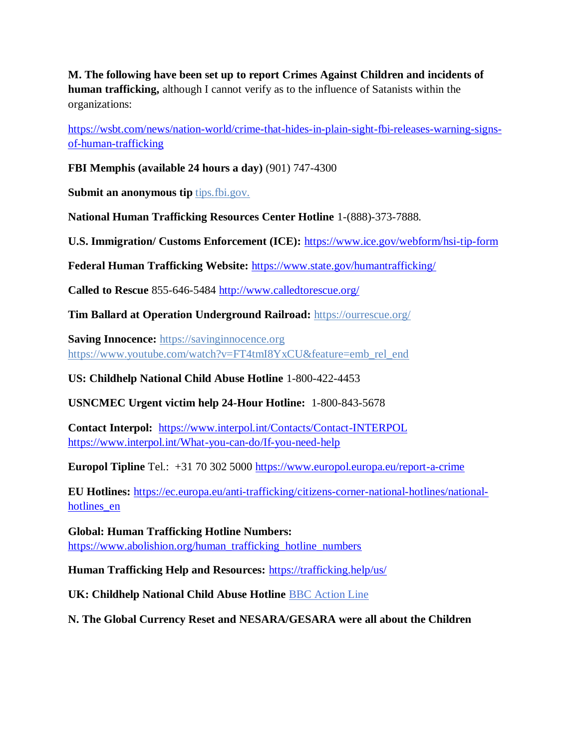**M. The following have been set up to report Crimes Against Children and incidents of human trafficking,** although I cannot verify as to the influence of Satanists within the organizations:

[https://wsbt.com/news/nation-world/crime-that-hides-in-plain-sight-fbi-releases-warning-signs](https://wsbt.com/news/nation-world/crime-that-hides-in-plain-sight-fbi-releases-warning-signs-of-human-trafficking?video=e56ba52a1b9d45ad8c8a033fd83fe480&jwsource=cl)[of-human-trafficking](https://wsbt.com/news/nation-world/crime-that-hides-in-plain-sight-fbi-releases-warning-signs-of-human-trafficking?video=e56ba52a1b9d45ad8c8a033fd83fe480&jwsource=cl)

**FBI Memphis (available 24 hours a day)** (901) 747-4300

**Submit an anonymous tip tips.fbi.gov.** 

**National Human Trafficking Resources Center Hotline** 1-(888)-373-7888.

**U.S. Immigration/ Customs Enforcement (ICE):** <https://www.ice.gov/webform/hsi-tip-form>

**Federal Human Trafficking Website:** <https://www.state.gov/humantrafficking/>

**Called to Rescue** 855-646-5484<http://www.calledtorescue.org/>

**Tim Ballard at Operation Underground Railroad:** <https://ourrescue.org/>

**Saving Innocence:** [https://savinginnocence.org](https://savinginnocence.org/) [https://www.youtube.com/watch?v=FT4tmI8YxCU&feature=emb\\_rel\\_end](https://www.youtube.com/watch?v=FT4tmI8YxCU&feature=emb_rel_end)

**US: Childhelp National Child Abuse Hotline** 1-800-422-4453

**USNCMEC Urgent victim help 24-Hour Hotline:** 1-800-843-5678

**Contact Interpol:** <https://www.interpol.int/Contacts/Contact-INTERPOL> <https://www.interpol.int/What-you-can-do/If-you-need-help>

**Europol Tipline** Tel.: +31 70 302 5000<https://www.europol.europa.eu/report-a-crime>

**EU Hotlines:** [https://ec.europa.eu/anti-trafficking/citizens-corner-national-hotlines/national](https://ec.europa.eu/anti-trafficking/citizens-corner-national-hotlines/national-hotlines_en)hotlines en

**Global: Human Trafficking Hotline Numbers:** [https://www.abolishion.org/human\\_trafficking\\_hotline\\_numbers](https://www.abolishion.org/human_trafficking_hotline_numbers)

**Human Trafficking Help and Resources:** <https://trafficking.help/us/>

**UK: Childhelp National Child Abuse Hotline** [BBC Action Line](https://www.bbc.co.uk/actionline)

**N. The Global Currency Reset and NESARA/GESARA were all about the Children**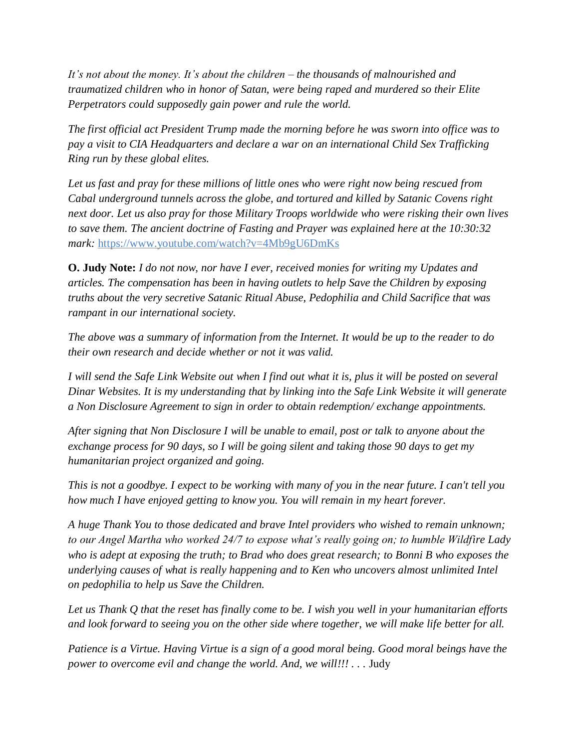*It's not about the money. It's about the children – the thousands of malnourished and traumatized children who in honor of Satan, were being raped and murdered so their Elite Perpetrators could supposedly gain power and rule the world.* 

*The first official act President Trump made the morning before he was sworn into office was to pay a visit to CIA Headquarters and declare a war on an international Child Sex Trafficking Ring run by these global elites.* 

*Let us fast and pray for these millions of little ones who were right now being rescued from Cabal underground tunnels across the globe, and tortured and killed by Satanic Covens right next door. Let us also pray for those Military Troops worldwide who were risking their own lives to save them. The ancient doctrine of Fasting and Prayer was explained here at the 10:30:32 mark:* <https://www.youtube.com/watch?v=4Mb9gU6DmKs>

**O. Judy Note:** *I do not now, nor have I ever, received monies for writing my Updates and articles. The compensation has been in having outlets to help Save the Children by exposing truths about the very secretive Satanic Ritual Abuse, Pedophilia and Child Sacrifice that was rampant in our international society.*

*The above was a summary of information from the Internet. It would be up to the reader to do their own research and decide whether or not it was valid.*

*I will send the Safe Link Website out when I find out what it is, plus it will be posted on several Dinar Websites. It is my understanding that by linking into the Safe Link Website it will generate a Non Disclosure Agreement to sign in order to obtain redemption/ exchange appointments.*

*After signing that Non Disclosure I will be unable to email, post or talk to anyone about the exchange process for 90 days, so I will be going silent and taking those 90 days to get my humanitarian project organized and going.*

*This is not a goodbye. I expect to be working with many of you in the near future. I can't tell you how much I have enjoyed getting to know you. You will remain in my heart forever.*

*A huge Thank You to those dedicated and brave Intel providers who wished to remain unknown; to our Angel Martha who worked 24/7 to expose what's really going on; to humble Wildfire Lady who is adept at exposing the truth; to Brad who does great research; to Bonni B who exposes the underlying causes of what is really happening and to Ken who uncovers almost unlimited Intel on pedophilia to help us Save the Children.*

*Let us Thank Q that the reset has finally come to be. I wish you well in your humanitarian efforts and look forward to seeing you on the other side where together, we will make life better for all.*

*Patience is a Virtue. Having Virtue is a sign of a good moral being. Good moral beings have the power to overcome evil and change the world. And, we will!!!* . . . Judy